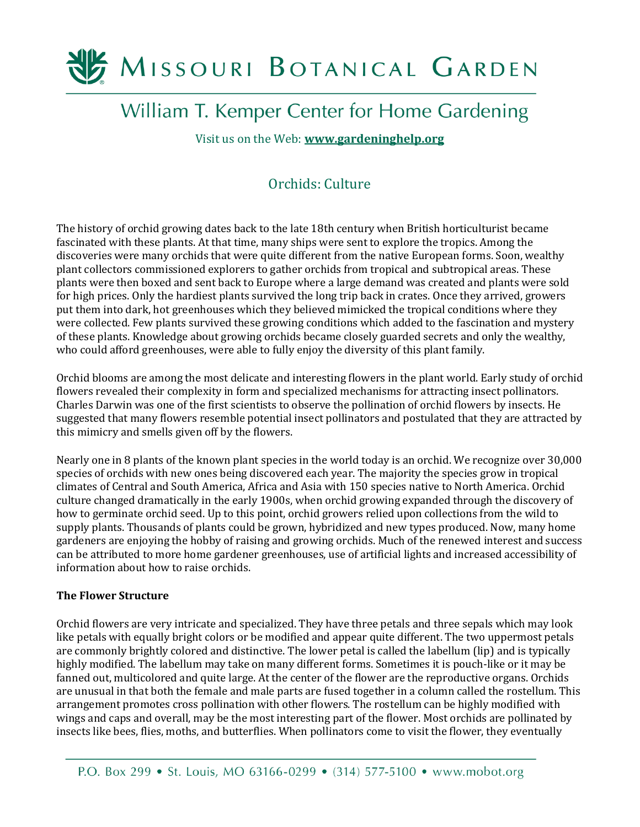# MISSOURI BOTANICAL GARDEN

## William T. Kemper Center for Home Gardening

Visit us on the Web: **[www.gardeninghelp.org](http://www.gardeninghelp.org/)**

### Orchids: Culture

The history of orchid growing dates back to the late 18th century when British horticulturist became fascinated with these plants. At that time, many ships were sent to explore the tropics. Among the discoveries were many orchids that were quite different from the native European forms. Soon, wealthy plant collectors commissioned explorers to gather orchids from tropical and subtropical areas. These plants were then boxed and sent back to Europe where a large demand was created and plants were sold for high prices. Only the hardiest plants survived the long trip back in crates. Once they arrived, growers put them into dark, hot greenhouses which they believed mimicked the tropical conditions where they were collected. Few plants survived these growing conditions which added to the fascination and mystery of these plants. Knowledge about growing orchids became closely guarded secrets and only the wealthy, who could afford greenhouses, were able to fully enjoy the diversity of this plant family.

Orchid blooms are among the most delicate and interesting flowers in the plant world. Early study of orchid flowers revealed their complexity in form and specialized mechanisms for attracting insect pollinators. Charles Darwin was one of the first scientists to observe the pollination of orchid flowers by insects. He suggested that many flowers resemble potential insect pollinators and postulated that they are attracted by this mimicry and smells given off by the flowers.

Nearly one in 8 plants of the known plant species in the world today is an orchid. We recognize over 30,000 species of orchids with new ones being discovered each year. The majority the species grow in tropical climates of Central and South America, Africa and Asia with 150 species native to North America. Orchid culture changed dramatically in the early 1900s, when orchid growing expanded through the discovery of how to germinate orchid seed. Up to this point, orchid growers relied upon collections from the wild to supply plants. Thousands of plants could be grown, hybridized and new types produced. Now, many home gardeners are enjoying the hobby of raising and growing orchids. Much of the renewed interest and success can be attributed to more home gardener greenhouses, use of artificial lights and increased accessibility of information about how to raise orchids.

#### **The Flower Structure**

Orchid flowers are very intricate and specialized. They have three petals and three sepals which may look like petals with equally bright colors or be modified and appear quite different. The two uppermost petals are commonly brightly colored and distinctive. The lower petal is called the labellum (lip) and is typically highly modified. The labellum may take on many different forms. Sometimes it is pouch-like or it may be fanned out, multicolored and quite large. At the center of the flower are the reproductive organs. Orchids are unusual in that both the female and male parts are fused together in a column called the rostellum. This arrangement promotes cross pollination with other flowers. The rostellum can be highly modified with wings and caps and overall, may be the most interesting part of the flower. Most orchids are pollinated by insects like bees, flies, moths, and butterflies. When pollinators come to visit the flower, they eventually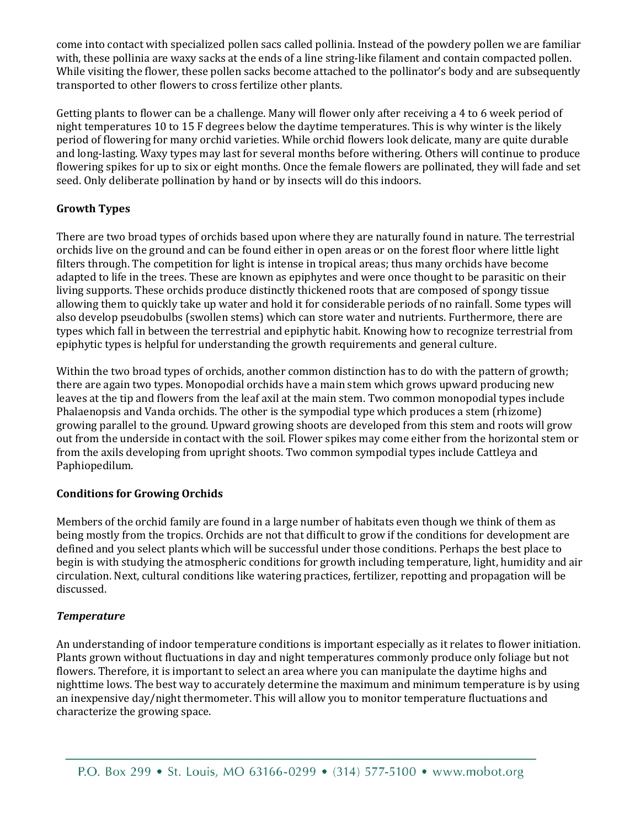come into contact with specialized pollen sacs called pollinia. Instead of the powdery pollen we are familiar with, these pollinia are waxy sacks at the ends of a line string-like filament and contain compacted pollen. While visiting the flower, these pollen sacks become attached to the pollinator's body and are subsequently transported to other flowers to cross fertilize other plants.

Getting plants to flower can be a challenge. Many will flower only after receiving a 4 to 6 week period of night temperatures 10 to 15 F degrees below the daytime temperatures. This is why winter is the likely period of flowering for many orchid varieties. While orchid flowers look delicate, many are quite durable and long-lasting. Waxy types may last for several months before withering. Others will continue to produce flowering spikes for up to six or eight months. Once the female flowers are pollinated, they will fade and set seed. Only deliberate pollination by hand or by insects will do this indoors.

#### **Growth Types**

There are two broad types of orchids based upon where they are naturally found in nature. The terrestrial orchids live on the ground and can be found either in open areas or on the forest floor where little light filters through. The competition for light is intense in tropical areas; thus many orchids have become adapted to life in the trees. These are known as epiphytes and were once thought to be parasitic on their living supports. These orchids produce distinctly thickened roots that are composed of spongy tissue allowing them to quickly take up water and hold it for considerable periods of no rainfall. Some types will also develop pseudobulbs (swollen stems) which can store water and nutrients. Furthermore, there are types which fall in between the terrestrial and epiphytic habit. Knowing how to recognize terrestrial from epiphytic types is helpful for understanding the growth requirements and general culture.

Within the two broad types of orchids, another common distinction has to do with the pattern of growth; there are again two types. Monopodial orchids have a main stem which grows upward producing new leaves at the tip and flowers from the leaf axil at the main stem. Two common monopodial types include Phalaenopsis and Vanda orchids. The other is the sympodial type which produces a stem (rhizome) growing parallel to the ground. Upward growing shoots are developed from this stem and roots will grow out from the underside in contact with the soil. Flower spikes may come either from the horizontal stem or from the axils developing from upright shoots. Two common sympodial types include Cattleya and Paphiopedilum.

#### **Conditions for Growing Orchids**

Members of the orchid family are found in a large number of habitats even though we think of them as being mostly from the tropics. Orchids are not that difficult to grow if the conditions for development are defined and you select plants which will be successful under those conditions. Perhaps the best place to begin is with studying the atmospheric conditions for growth including temperature, light, humidity and air circulation. Next, cultural conditions like watering practices, fertilizer, repotting and propagation will be discussed.

#### *Temperature*

An understanding of indoor temperature conditions is important especially as it relates to flower initiation. Plants grown without fluctuations in day and night temperatures commonly produce only foliage but not flowers. Therefore, it is important to select an area where you can manipulate the daytime highs and nighttime lows. The best way to accurately determine the maximum and minimum temperature is by using an inexpensive day/night thermometer. This will allow you to monitor temperature fluctuations and characterize the growing space.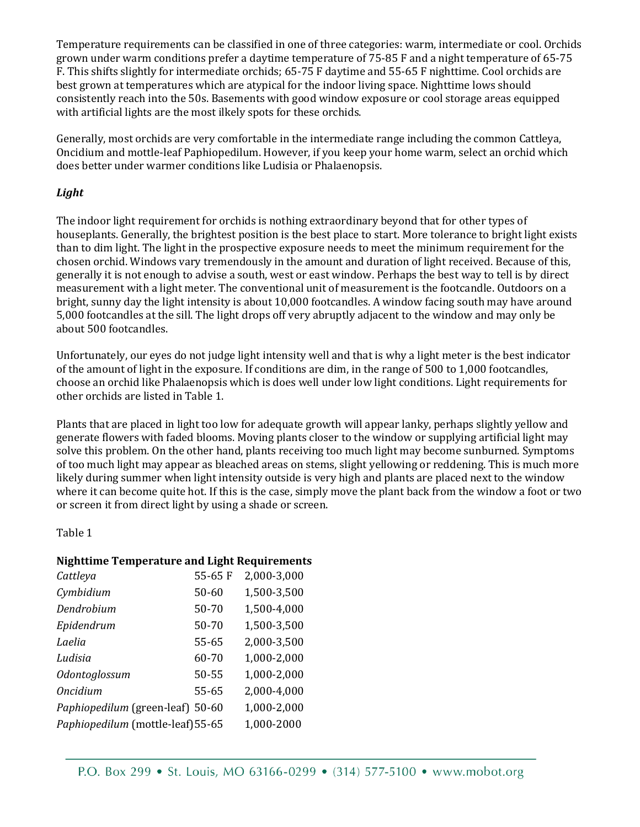Temperature requirements can be classified in one of three categories: warm, intermediate or cool. Orchids grown under warm conditions prefer a daytime temperature of 75-85 F and a night temperature of 65-75 F. This shifts slightly for intermediate orchids; 65-75 F daytime and 55-65 F nighttime. Cool orchids are best grown at temperatures which are atypical for the indoor living space. Nighttime lows should consistently reach into the 50s. Basements with good window exposure or cool storage areas equipped with artificial lights are the most ilkely spots for these orchids.

Generally, most orchids are very comfortable in the intermediate range including the common Cattleya, Oncidium and mottle-leaf Paphiopedilum. However, if you keep your home warm, select an orchid which does better under warmer conditions like Ludisia or Phalaenopsis.

#### *Light*

The indoor light requirement for orchids is nothing extraordinary beyond that for other types of houseplants. Generally, the brightest position is the best place to start. More tolerance to bright light exists than to dim light. The light in the prospective exposure needs to meet the minimum requirement for the chosen orchid. Windows vary tremendously in the amount and duration of light received. Because of this, generally it is not enough to advise a south, west or east window. Perhaps the best way to tell is by direct measurement with a light meter. The conventional unit of measurement is the footcandle. Outdoors on a bright, sunny day the light intensity is about 10,000 footcandles. A window facing south may have around 5,000 footcandles at the sill. The light drops off very abruptly adjacent to the window and may only be about 500 footcandles.

Unfortunately, our eyes do not judge light intensity well and that is why a light meter is the best indicator of the amount of light in the exposure. If conditions are dim, in the range of 500 to 1,000 footcandles, choose an orchid like Phalaenopsis which is does well under low light conditions. Light requirements for other orchids are listed in Table 1.

Plants that are placed in light too low for adequate growth will appear lanky, perhaps slightly yellow and generate flowers with faded blooms. Moving plants closer to the window or supplying artificial light may solve this problem. On the other hand, plants receiving too much light may become sunburned. Symptoms of too much light may appear as bleached areas on stems, slight yellowing or reddening. This is much more likely during summer when light intensity outside is very high and plants are placed next to the window where it can become quite hot. If this is the case, simply move the plant back from the window a foot or two or screen it from direct light by using a shade or screen.

Table 1

#### **Nighttime Temperature and Light Requirements**

| Cattleya                          | 55-65 F | 2,000-3,000 |
|-----------------------------------|---------|-------------|
| Cymbidium                         | 50-60   | 1,500-3,500 |
| Dendrobium                        | 50-70   | 1,500-4,000 |
| Epidendrum                        | 50-70   | 1,500-3,500 |
| Laelia                            | 55-65   | 2,000-3,500 |
| Ludisia                           | 60-70   | 1,000-2,000 |
| Odontoglossum                     | 50-55   | 1,000-2,000 |
| <b>Oncidium</b>                   | 55-65   | 2,000-4,000 |
| Paphiopedilum (green-leaf) 50-60  |         | 1,000-2,000 |
| Paphiopedilum (mottle-leaf) 55-65 |         | 1,000-2000  |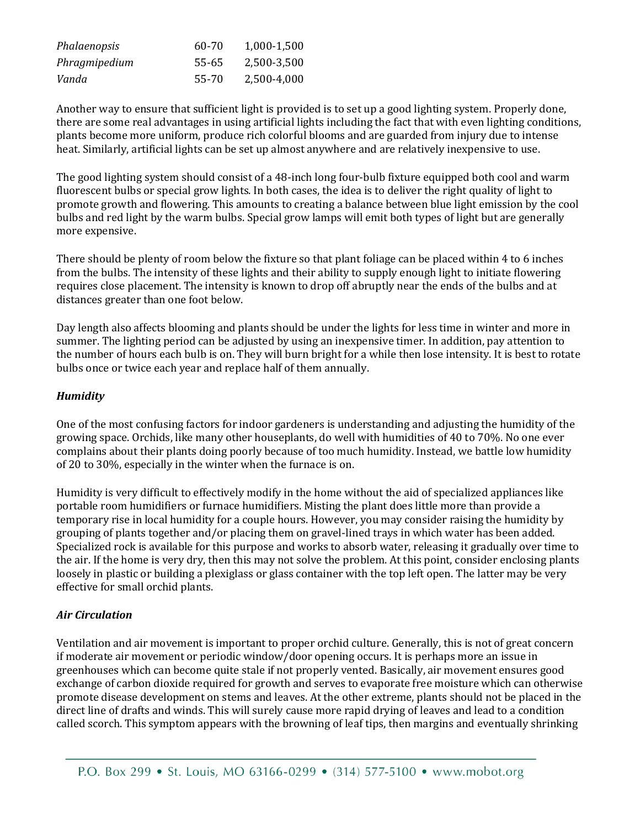| Phalaenopsis  | 60-70 | 1,000-1,500 |
|---------------|-------|-------------|
| Phragmipedium | 55-65 | 2,500-3,500 |
| Vanda         | 55-70 | 2,500-4,000 |

Another way to ensure that sufficient light is provided is to set up a good lighting system. Properly done, there are some real advantages in using artificial lights including the fact that with even lighting conditions, plants become more uniform, produce rich colorful blooms and are guarded from injury due to intense heat. Similarly, artificial lights can be set up almost anywhere and are relatively inexpensive to use.

The good lighting system should consist of a 48-inch long four-bulb fixture equipped both cool and warm fluorescent bulbs or special grow lights. In both cases, the idea is to deliver the right quality of light to promote growth and flowering. This amounts to creating a balance between blue light emission by the cool bulbs and red light by the warm bulbs. Special grow lamps will emit both types of light but are generally more expensive.

There should be plenty of room below the fixture so that plant foliage can be placed within 4 to 6 inches from the bulbs. The intensity of these lights and their ability to supply enough light to initiate flowering requires close placement. The intensity is known to drop off abruptly near the ends of the bulbs and at distances greater than one foot below.

Day length also affects blooming and plants should be under the lights for less time in winter and more in summer. The lighting period can be adjusted by using an inexpensive timer. In addition, pay attention to the number of hours each bulb is on. They will burn bright for a while then lose intensity. It is best to rotate bulbs once or twice each year and replace half of them annually.

#### *Humidity*

One of the most confusing factors for indoor gardeners is understanding and adjusting the humidity of the growing space. Orchids, like many other houseplants, do well with humidities of 40 to 70%. No one ever complains about their plants doing poorly because of too much humidity. Instead, we battle low humidity of 20 to 30%, especially in the winter when the furnace is on.

Humidity is very difficult to effectively modify in the home without the aid of specialized appliances like portable room humidifiers or furnace humidifiers. Misting the plant does little more than provide a temporary rise in local humidity for a couple hours. However, you may consider raising the humidity by grouping of plants together and/or placing them on gravel-lined trays in which water has been added. Specialized rock is available for this purpose and works to absorb water, releasing it gradually over time to the air. If the home is very dry, then this may not solve the problem. At this point, consider enclosing plants loosely in plastic or building a plexiglass or glass container with the top left open. The latter may be very effective for small orchid plants.

#### *Air Circulation*

Ventilation and air movement is important to proper orchid culture. Generally, this is not of great concern if moderate air movement or periodic window/door opening occurs. It is perhaps more an issue in greenhouses which can become quite stale if not properly vented. Basically, air movement ensures good exchange of carbon dioxide required for growth and serves to evaporate free moisture which can otherwise promote disease development on stems and leaves. At the other extreme, plants should not be placed in the direct line of drafts and winds. This will surely cause more rapid drying of leaves and lead to a condition called scorch. This symptom appears with the browning of leaf tips, then margins and eventually shrinking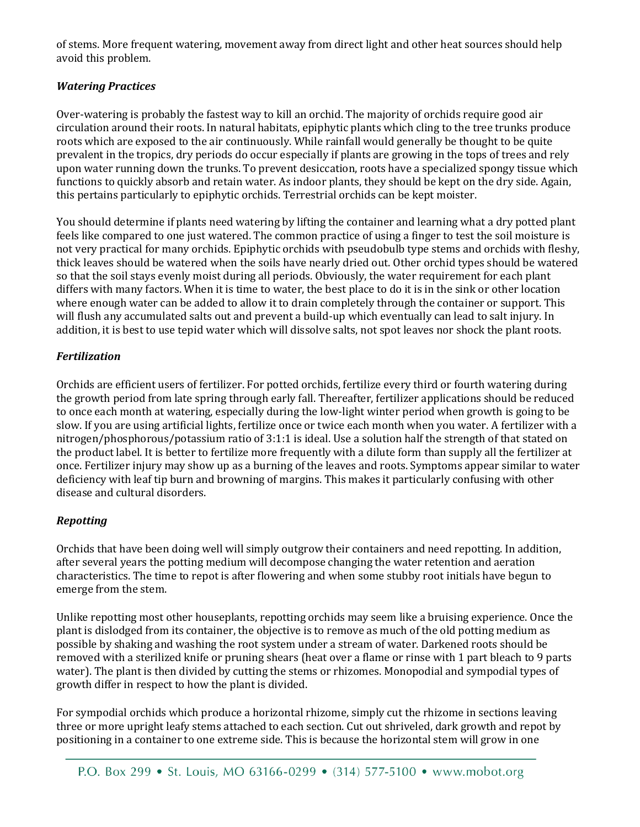of stems. More frequent watering, movement away from direct light and other heat sources should help avoid this problem.

#### *Watering Practices*

Over-watering is probably the fastest way to kill an orchid. The majority of orchids require good air circulation around their roots. In natural habitats, epiphytic plants which cling to the tree trunks produce roots which are exposed to the air continuously. While rainfall would generally be thought to be quite prevalent in the tropics, dry periods do occur especially if plants are growing in the tops of trees and rely upon water running down the trunks. To prevent desiccation, roots have a specialized spongy tissue which functions to quickly absorb and retain water. As indoor plants, they should be kept on the dry side. Again, this pertains particularly to epiphytic orchids. Terrestrial orchids can be kept moister.

You should determine if plants need watering by lifting the container and learning what a dry potted plant feels like compared to one just watered. The common practice of using a finger to test the soil moisture is not very practical for many orchids. Epiphytic orchids with pseudobulb type stems and orchids with fleshy, thick leaves should be watered when the soils have nearly dried out. Other orchid types should be watered so that the soil stays evenly moist during all periods. Obviously, the water requirement for each plant differs with many factors. When it is time to water, the best place to do it is in the sink or other location where enough water can be added to allow it to drain completely through the container or support. This will flush any accumulated salts out and prevent a build-up which eventually can lead to salt injury. In addition, it is best to use tepid water which will dissolve salts, not spot leaves nor shock the plant roots.

#### *Fertilization*

Orchids are efficient users of fertilizer. For potted orchids, fertilize every third or fourth watering during the growth period from late spring through early fall. Thereafter, fertilizer applications should be reduced to once each month at watering, especially during the low-light winter period when growth is going to be slow. If you are using artificial lights, fertilize once or twice each month when you water. A fertilizer with a nitrogen/phosphorous/potassium ratio of 3:1:1 is ideal. Use a solution half the strength of that stated on the product label. It is better to fertilize more frequently with a dilute form than supply all the fertilizer at once. Fertilizer injury may show up as a burning of the leaves and roots. Symptoms appear similar to water deficiency with leaf tip burn and browning of margins. This makes it particularly confusing with other disease and cultural disorders.

#### *Repotting*

Orchids that have been doing well will simply outgrow their containers and need repotting. In addition, after several years the potting medium will decompose changing the water retention and aeration characteristics. The time to repot is after flowering and when some stubby root initials have begun to emerge from the stem.

Unlike repotting most other houseplants, repotting orchids may seem like a bruising experience. Once the plant is dislodged from its container, the objective is to remove as much of the old potting medium as possible by shaking and washing the root system under a stream of water. Darkened roots should be removed with a sterilized knife or pruning shears (heat over a flame or rinse with 1 part bleach to 9 parts water). The plant is then divided by cutting the stems or rhizomes. Monopodial and sympodial types of growth differ in respect to how the plant is divided.

For sympodial orchids which produce a horizontal rhizome, simply cut the rhizome in sections leaving three or more upright leafy stems attached to each section. Cut out shriveled, dark growth and repot by positioning in a container to one extreme side. This is because the horizontal stem will grow in one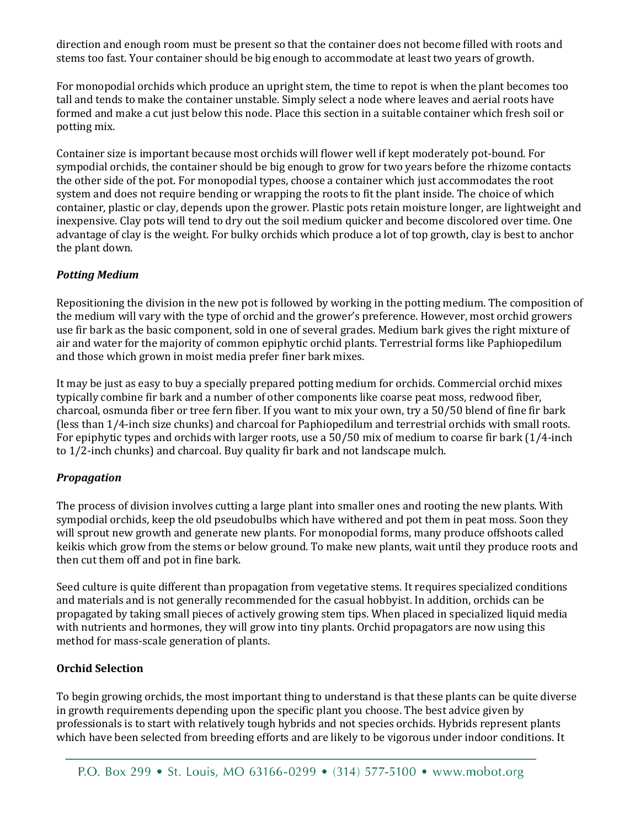direction and enough room must be present so that the container does not become filled with roots and stems too fast. Your container should be big enough to accommodate at least two years of growth.

For monopodial orchids which produce an upright stem, the time to repot is when the plant becomes too tall and tends to make the container unstable. Simply select a node where leaves and aerial roots have formed and make a cut just below this node. Place this section in a suitable container which fresh soil or potting mix.

Container size is important because most orchids will flower well if kept moderately pot-bound. For sympodial orchids, the container should be big enough to grow for two years before the rhizome contacts the other side of the pot. For monopodial types, choose a container which just accommodates the root system and does not require bending or wrapping the roots to fit the plant inside. The choice of which container, plastic or clay, depends upon the grower. Plastic pots retain moisture longer, are lightweight and inexpensive. Clay pots will tend to dry out the soil medium quicker and become discolored over time. One advantage of clay is the weight. For bulky orchids which produce a lot of top growth, clay is best to anchor the plant down.

#### *Potting Medium*

Repositioning the division in the new pot is followed by working in the potting medium. The composition of the medium will vary with the type of orchid and the grower's preference. However, most orchid growers use fir bark as the basic component, sold in one of several grades. Medium bark gives the right mixture of air and water for the majority of common epiphytic orchid plants. Terrestrial forms like Paphiopedilum and those which grown in moist media prefer finer bark mixes.

It may be just as easy to buy a specially prepared potting medium for orchids. Commercial orchid mixes typically combine fir bark and a number of other components like coarse peat moss, redwood fiber, charcoal, osmunda fiber or tree fern fiber. If you want to mix your own, try a 50/50 blend of fine fir bark (less than 1/4-inch size chunks) and charcoal for Paphiopedilum and terrestrial orchids with small roots. For epiphytic types and orchids with larger roots, use a 50/50 mix of medium to coarse fir bark (1/4-inch to 1/2-inch chunks) and charcoal. Buy quality fir bark and not landscape mulch.

#### *Propagation*

The process of division involves cutting a large plant into smaller ones and rooting the new plants. With sympodial orchids, keep the old pseudobulbs which have withered and pot them in peat moss. Soon they will sprout new growth and generate new plants. For monopodial forms, many produce offshoots called keikis which grow from the stems or below ground. To make new plants, wait until they produce roots and then cut them off and pot in fine bark.

Seed culture is quite different than propagation from vegetative stems. It requires specialized conditions and materials and is not generally recommended for the casual hobbyist. In addition, orchids can be propagated by taking small pieces of actively growing stem tips. When placed in specialized liquid media with nutrients and hormones, they will grow into tiny plants. Orchid propagators are now using this method for mass-scale generation of plants.

#### **Orchid Selection**

To begin growing orchids, the most important thing to understand is that these plants can be quite diverse in growth requirements depending upon the specific plant you choose. The best advice given by professionals is to start with relatively tough hybrids and not species orchids. Hybrids represent plants which have been selected from breeding efforts and are likely to be vigorous under indoor conditions. It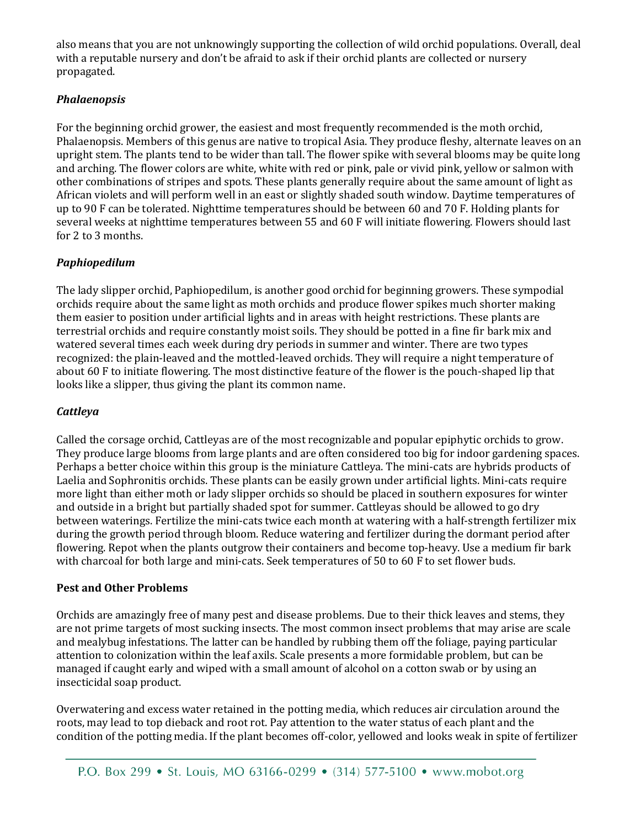also means that you are not unknowingly supporting the collection of wild orchid populations. Overall, deal with a reputable nursery and don't be afraid to ask if their orchid plants are collected or nursery propagated.

#### *Phalaenopsis*

For the beginning orchid grower, the easiest and most frequently recommended is the moth orchid, Phalaenopsis. Members of this genus are native to tropical Asia. They produce fleshy, alternate leaves on an upright stem. The plants tend to be wider than tall. The flower spike with several blooms may be quite long and arching. The flower colors are white, white with red or pink, pale or vivid pink, yellow or salmon with other combinations of stripes and spots. These plants generally require about the same amount of light as African violets and will perform well in an east or slightly shaded south window. Daytime temperatures of up to 90 F can be tolerated. Nighttime temperatures should be between 60 and 70 F. Holding plants for several weeks at nighttime temperatures between 55 and 60 F will initiate flowering. Flowers should last for 2 to 3 months.

#### *Paphiopedilum*

The lady slipper orchid, Paphiopedilum, is another good orchid for beginning growers. These sympodial orchids require about the same light as moth orchids and produce flower spikes much shorter making them easier to position under artificial lights and in areas with height restrictions. These plants are terrestrial orchids and require constantly moist soils. They should be potted in a fine fir bark mix and watered several times each week during dry periods in summer and winter. There are two types recognized: the plain-leaved and the mottled-leaved orchids. They will require a night temperature of about 60 F to initiate flowering. The most distinctive feature of the flower is the pouch-shaped lip that looks like a slipper, thus giving the plant its common name.

#### *Cattleya*

Called the corsage orchid, Cattleyas are of the most recognizable and popular epiphytic orchids to grow. They produce large blooms from large plants and are often considered too big for indoor gardening spaces. Perhaps a better choice within this group is the miniature Cattleya. The mini-cats are hybrids products of Laelia and Sophronitis orchids. These plants can be easily grown under artificial lights. Mini-cats require more light than either moth or lady slipper orchids so should be placed in southern exposures for winter and outside in a bright but partially shaded spot for summer. Cattleyas should be allowed to go dry between waterings. Fertilize the mini-cats twice each month at watering with a half-strength fertilizer mix during the growth period through bloom. Reduce watering and fertilizer during the dormant period after flowering. Repot when the plants outgrow their containers and become top-heavy. Use a medium fir bark with charcoal for both large and mini-cats. Seek temperatures of 50 to 60 F to set flower buds.

#### **Pest and Other Problems**

Orchids are amazingly free of many pest and disease problems. Due to their thick leaves and stems, they are not prime targets of most sucking insects. The most common insect problems that may arise are scale and mealybug infestations. The latter can be handled by rubbing them off the foliage, paying particular attention to colonization within the leaf axils. Scale presents a more formidable problem, but can be managed if caught early and wiped with a small amount of alcohol on a cotton swab or by using an insecticidal soap product.

Overwatering and excess water retained in the potting media, which reduces air circulation around the roots, may lead to top dieback and root rot. Pay attention to the water status of each plant and the condition of the potting media. If the plant becomes off-color, yellowed and looks weak in spite of fertilizer